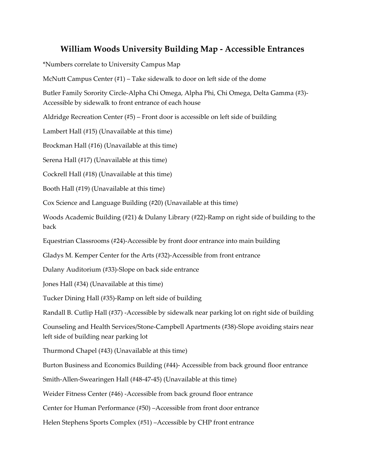## **William Woods University Building Map - Accessible Entrances**

\*Numbers correlate to University Campus Map

McNutt Campus Center (#1) – Take sidewalk to door on left side of the dome

Butler Family Sorority Circle-Alpha Chi Omega, Alpha Phi, Chi Omega, Delta Gamma (#3)- Accessible by sidewalk to front entrance of each house

Aldridge Recreation Center (#5) – Front door is accessible on left side of building

Lambert Hall (#15) (Unavailable at this time)

Brockman Hall (#16) (Unavailable at this time)

Serena Hall (#17) (Unavailable at this time)

Cockrell Hall (#18) (Unavailable at this time)

Booth Hall (#19) (Unavailable at this time)

Cox Science and Language Building (#20) (Unavailable at this time)

Woods Academic Building (#21) & Dulany Library (#22)-Ramp on right side of building to the back

Equestrian Classrooms (#24)-Accessible by front door entrance into main building

Gladys M. Kemper Center for the Arts (#32)-Accessible from front entrance

Dulany Auditorium (#33)-Slope on back side entrance

Jones Hall (#34) (Unavailable at this time)

Tucker Dining Hall (#35)-Ramp on left side of building

Randall B. Cutlip Hall (#37) -Accessible by sidewalk near parking lot on right side of building

Counseling and Health Services/Stone-Campbell Apartments (#38)-Slope avoiding stairs near left side of building near parking lot

Thurmond Chapel (#43) (Unavailable at this time)

Burton Business and Economics Building (#44)- Accessible from back ground floor entrance

Smith-Allen-Swearingen Hall (#48-47-45) (Unavailable at this time)

Weider Fitness Center (#46) -Accessible from back ground floor entrance

Center for Human Performance (#50) –Accessible from front door entrance

Helen Stephens Sports Complex (#51) –Accessible by CHP front entrance